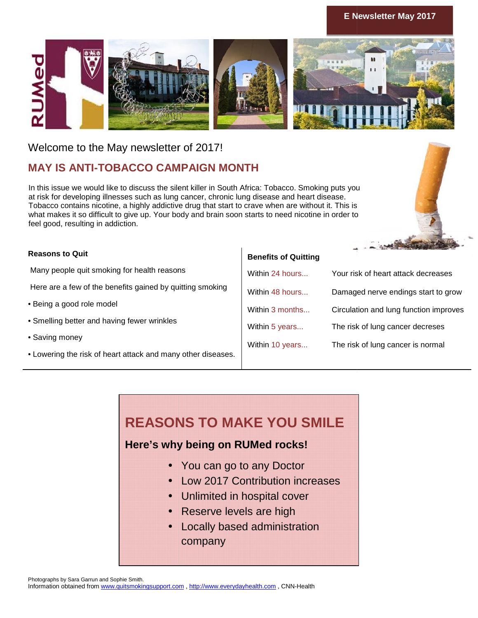#### **E Newsletter May 2017**



Welcome to the May newsletter of 2017!

## **MAY IS ANTI-TOBACCO CAMPAIGN MONTH**

#### **Reasons to Quit**

- Being a good role model
- Smelling better and having fewer wrinkles
- Saving money
- Lowering the risk of heart attack and many other diseases.

#### **Benefits of Quitting**

| MAY IS ANTI-TOBACCO CAMPAIGN MONTH                                                                                                                                                                                                                                                                                                                                                                                                                       |                                                                                                       |                                        |
|----------------------------------------------------------------------------------------------------------------------------------------------------------------------------------------------------------------------------------------------------------------------------------------------------------------------------------------------------------------------------------------------------------------------------------------------------------|-------------------------------------------------------------------------------------------------------|----------------------------------------|
| In this issue we would like to discuss the silent killer in South Africa: Tobacco. Smoking puts you<br>at risk for developing illnesses such as lung cancer, chronic lung disease and heart disease.<br>Tobacco contains nicotine, a highly addictive drug that start to crave when are without it. This is<br>what makes it so difficult to give up. Your body and brain soon starts to need nicotine in order to<br>feel good, resulting in addiction. |                                                                                                       |                                        |
| <b>Reasons to Quit</b>                                                                                                                                                                                                                                                                                                                                                                                                                                   |                                                                                                       |                                        |
| Many people quit smoking for health reasons                                                                                                                                                                                                                                                                                                                                                                                                              | <b>Benefits of Quitting</b><br>Within 24 hours                                                        |                                        |
| Here are a few of the benefits gained by quitting smoking                                                                                                                                                                                                                                                                                                                                                                                                |                                                                                                       | Your risk of heart attack decreases    |
| <b>Being a good role model</b>                                                                                                                                                                                                                                                                                                                                                                                                                           | Within 48 hours                                                                                       | Damaged nerve endings start to grow    |
|                                                                                                                                                                                                                                                                                                                                                                                                                                                          | Within 3 months                                                                                       | Circulation and lung function improves |
| Smelling better and having fewer wrinkles                                                                                                                                                                                                                                                                                                                                                                                                                | Within 5 years                                                                                        | The risk of lung cancer decreses       |
| · Saving money                                                                                                                                                                                                                                                                                                                                                                                                                                           | Within 10 years                                                                                       | The risk of lung cancer is normal      |
| • Lowering the risk of heart attack and many other diseases.                                                                                                                                                                                                                                                                                                                                                                                             |                                                                                                       |                                        |
| <b>REASONS TO MAKE YOU SMILE</b><br>Here's why being on RUMed rocks!<br>• You can go to any Doctor<br>Reserve levels are high                                                                                                                                                                                                                                                                                                                            | <b>Low 2017 Contribution increases</b><br>Unlimited in hospital cover<br>Locally based administration |                                        |
| company                                                                                                                                                                                                                                                                                                                                                                                                                                                  |                                                                                                       |                                        |
|                                                                                                                                                                                                                                                                                                                                                                                                                                                          |                                                                                                       |                                        |

# **REASONS TO MAKE YOU SMILE**

## **Here's why being on RUMed rocks!**

- You can go to any Doctor
- Low 2017 Contribution increases
- Unlimited in hospital cover
- Unlimited in hospital cover<br>• Reserve levels are high
- Locally based administration company